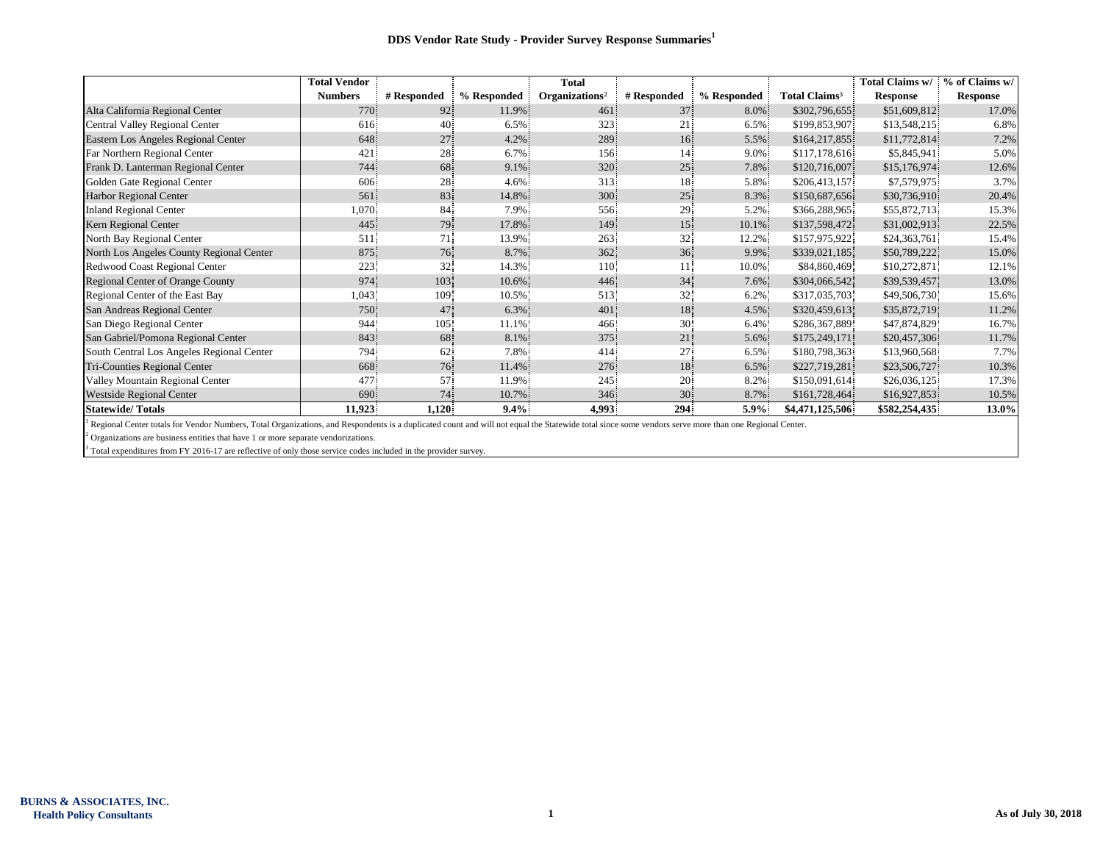|                                           | <b>Total Vendor</b> |             |             | <b>Total</b>               |              |             |                           | Total Claims w/ | % of Claims w/  |
|-------------------------------------------|---------------------|-------------|-------------|----------------------------|--------------|-------------|---------------------------|-----------------|-----------------|
|                                           | <b>Numbers</b>      | # Responded | % Responded | Organizations <sup>2</sup> | # Responded  | % Responded | Total Claims <sup>3</sup> | <b>Response</b> | <b>Response</b> |
| Alta California Regional Center           | 770                 | 92.         | 11.9%       | 461                        | 37           | 8.0%        | \$302,796,655             | \$51,609,812    | 17.0%           |
| Central Valley Regional Center            | 616                 | 40          | 6.5%        | 323                        | 21.          | 6.5%        | \$199,853,907             | \$13,548,215    | 6.8%            |
| Eastern Los Angeles Regional Center       | 648                 | 27          | 4.2%        | 289                        | 16           | 5.5%        | \$164,217,855             | \$11,772,814    | 7.2%            |
| Far Northern Regional Center              | 421                 | 28          | 6.7%        | 156                        | 14           | $9.0\%$     | \$117,178,616             | \$5,845,941     | 5.0%            |
| Frank D. Lanterman Regional Center        | 744                 | 68          | 9.1%        | 320                        | 25           | 7.8%        | \$120,716,007             | \$15,176,974    | 12.6%           |
| Golden Gate Regional Center               | 606                 | 28          | 4.6%        | 313                        | 18           | 5.8%        | \$206,413,157             | \$7,579,975     | 3.7%            |
| <b>Harbor Regional Center</b>             | 561                 | 83          | 14.8%       | 300                        | 25           | 8.3%        | \$150,687,656             | \$30,736,910    | 20.4%           |
| <b>Inland Regional Center</b>             | 1,070               | 84          | 7.9%        | 556                        | 29           | 5.2%        | \$366,288,965             | \$55,872,713    | 15.3%           |
| Kern Regional Center                      | 445                 | 79          | 17.8%       | 149                        | 15           | 10.1%       | \$137,598,472             | \$31,002,913    | 22.5%           |
| North Bay Regional Center                 | 511                 | 71          | 13.9%       | 263                        | $32^{\circ}$ | 12.2%       | \$157,975,922             | \$24,363,761    | 15.4%           |
| North Los Angeles County Regional Center  | 875.                | 76          | 8.7%        | 362                        | 36           | 9.9%        | \$339,021,185             | \$50,789,222    | 15.0%           |
| Redwood Coast Regional Center             | 223                 | 32          | 14.3%       | 110                        | 11.          | 10.0%       | \$84,860,469              | \$10,272,871    | 12.1%           |
| Regional Center of Orange County          | 974                 | 103.        | 10.6%       | 446                        | 34           | 7.6%        | \$304,066,542             | \$39,539,457    | 13.0%           |
| Regional Center of the East Bay           | 1,043               | 109         | 10.5%       | 513                        | 32           | 6.2%        | \$317,035,703             | \$49,506,730    | 15.6%           |
| San Andreas Regional Center               | 750                 | 47          | 6.3%        | 401                        | 18           | 4.5%        | \$320,459,613             | \$35,872,719    | 11.2%           |
| San Diego Regional Center                 | 944                 | 105         | 11.1%       | 466                        | 30           | 6.4%        | \$286,367,889             | \$47,874,829    | 16.7%           |
| San Gabriel/Pomona Regional Center        | 843                 | 68          | 8.1%        | 375                        | 21           | 5.6%        | \$175,249,171             | \$20,457,306    | 11.7%           |
| South Central Los Angeles Regional Center | 794                 | 62          | 7.8%        | 414                        | $27 -$       | 6.5%        | \$180,798,363             | \$13,960,568    | 7.7%            |
| Tri-Counties Regional Center              | 668                 | 76          | 11.4%       | 276                        | 18           | 6.5%        | \$227,719,281             | \$23,506,727    | 10.3%           |
| Valley Mountain Regional Center           | 477                 | 57          | 11.9%       | 245                        | 20           | 8.2%        | \$150,091,614             | \$26,036,125    | 17.3%           |
| <b>Westside Regional Center</b>           | 690                 | 74          | 10.7%       | 346                        | 30           | 8.7%        | \$161,728,464             | \$16,927,853    | 10.5%           |
| <b>Statewide/Totals</b>                   | 11,923              | 1,120       | $9.4\%$     | 4,993                      | 294          | 5.9%        | \$4,471,125,506           | \$582,254,435   | 13.0%           |

<sup>1</sup> Regional Center totals for Vendor Numbers, Total Organizations, and Respondents is a duplicated count and will not equal the Statewide total since some vendors serve more than one Regional Center.

 $2$  Organizations are business entities that have 1 or more separate vendorizations.

<sup>3</sup> Total expenditures from FY 2016-17 are reflective of only those service codes included in the provider survey.